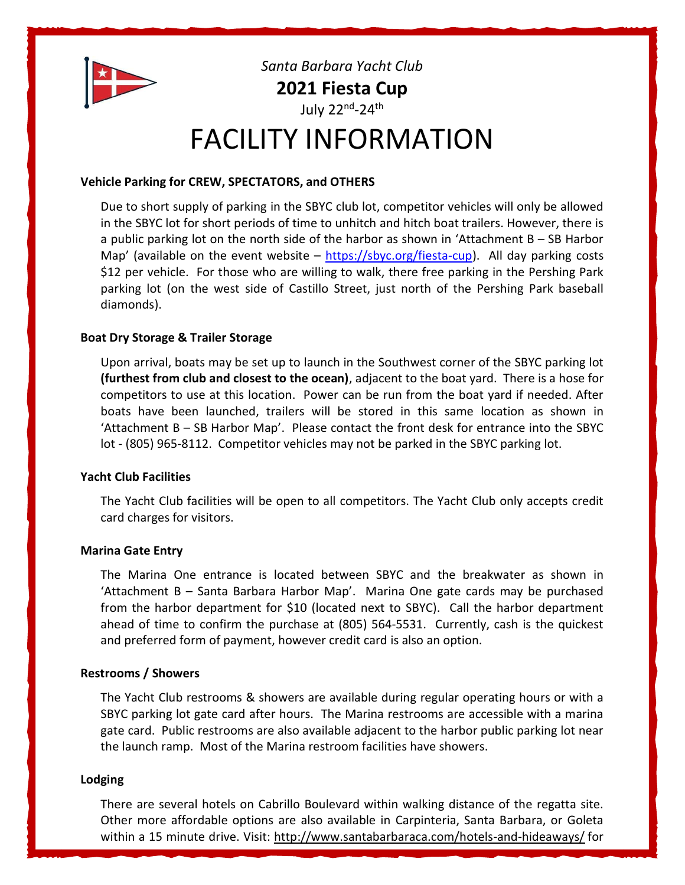

Santa Barbara Yacht Club 2021 Fiesta Cup

July 22<sup>nd</sup>-24<sup>th</sup>

# FACILITY INFORMATION

# Vehicle Parking for CREW, SPECTATORS, and OTHERS

Due to short supply of parking in the SBYC club lot, competitor vehicles will only be allowed in the SBYC lot for short periods of time to unhitch and hitch boat trailers. However, there is a public parking lot on the north side of the harbor as shown in 'Attachment B – SB Harbor Map' (available on the event website – https://sbyc.org/fiesta-cup). All day parking costs \$12 per vehicle. For those who are willing to walk, there free parking in the Pershing Park parking lot (on the west side of Castillo Street, just north of the Pershing Park baseball diamonds).

# Boat Dry Storage & Trailer Storage

Upon arrival, boats may be set up to launch in the Southwest corner of the SBYC parking lot (furthest from club and closest to the ocean), adjacent to the boat yard. There is a hose for competitors to use at this location. Power can be run from the boat yard if needed. After boats have been launched, trailers will be stored in this same location as shown in 'Attachment B – SB Harbor Map'. Please contact the front desk for entrance into the SBYC lot - (805) 965-8112. Competitor vehicles may not be parked in the SBYC parking lot.

## Yacht Club Facilities

The Yacht Club facilities will be open to all competitors. The Yacht Club only accepts credit card charges for visitors.

## Marina Gate Entry

The Marina One entrance is located between SBYC and the breakwater as shown in 'Attachment B – Santa Barbara Harbor Map'. Marina One gate cards may be purchased from the harbor department for \$10 (located next to SBYC). Call the harbor department ahead of time to confirm the purchase at (805) 564-5531. Currently, cash is the quickest and preferred form of payment, however credit card is also an option.

## Restrooms / Showers

The Yacht Club restrooms & showers are available during regular operating hours or with a SBYC parking lot gate card after hours. The Marina restrooms are accessible with a marina gate card. Public restrooms are also available adjacent to the harbor public parking lot near the launch ramp. Most of the Marina restroom facilities have showers.

## Lodging

There are several hotels on Cabrillo Boulevard within walking distance of the regatta site. Other more affordable options are also available in Carpinteria, Santa Barbara, or Goleta within a 15 minute drive. Visit: http://www.santabarbaraca.com/hotels-and-hideaways/ for